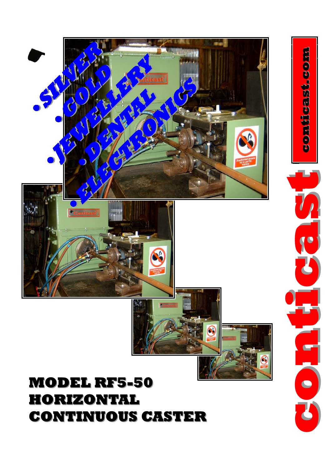## **MODEL RF5 MODEL RF5-50 HORIZONTAL HORIZONTAL CONTINUOUS CASTER CONTINUOUS CASTER**



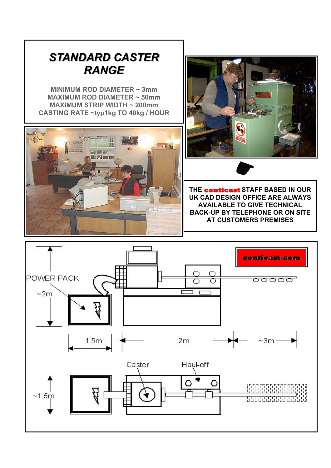## **STANDARD CASTER** *RANGE*

**MINIMUM ROD DIAMETER ~ 3mm MAXIMUM ROD DIAMETER ~ 50mm MAXIMUM STRIP WIDTH ~ 200mm CASTING RATE ~typ1kg TO 40kg / HOUR**





**THE conticast STAFF BASED IN OUR UK CAD DESIGN OFFICE ARE ALWAYS AVAILABLE TO GIVE TECHNICAL BACK-UP BY TELEPHONE OR ON SITE AT CUSTOMERS PREMISES** 

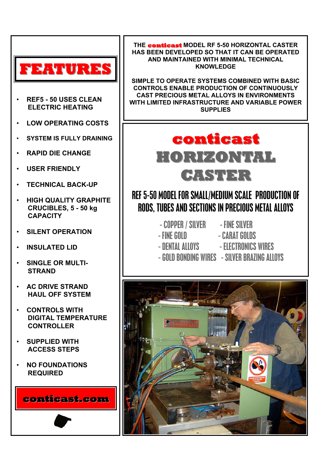

- **REF5 50 USES CLEAN ELECTRIC HEATING**
- **LOW OPERATING COSTS**
- **SYSTEM IS FULLY DRAINING**
- **RAPID DIE CHANGE**
- **USER FRIENDLY**
- **TECHNICAL BACK-UP**
- **HIGH QUALITY GRAPHITE CRUCIBLES, 5 - 50 kg CAPACITY**
- **SILENT OPERATION**
- **INSULATED LID**
- **SINGLE OR MULTI- STRAND**
- **AC DRIVE STRAND HAUL OFF SYSTEM**
- **CONTROLS WITH DIGITAL TEMPERATURE CONTROLLER**
- **SUPPLIED WITH ACCESS STEPS**
- **NO FOUNDATIONS REQUIRED**

**conticast.com**

**THE conticast conticast MODEL RF 5-50 HORIZONTAL CASTER HAS BEEN DEVELOPED SO THAT IT CAN BE OPERATED AND MAINTAINED WITH MINIMAL TECHNICAL KNOWLEDGE** 

**SIMPLE TO OPERATE SYSTEMS COMBINED WITH BASIC CONTROLS ENABLE PRODUCTION OF CONTINUOUSLY CAST PRECIOUS METAL ALLOYS IN ENVIRONMENTS WITH LIMITED INFRASTRUCTURE AND VARIABLE POWER SUPPLIES** 



## REF 5-50 MODEL FOR SMALL/MEDIUM SCALE PRODUCTION OF RODS, TUBES AND SECTIONS IN PRECIOUS METAL ALLOYS

- COPPER / SILVER - FINE SILVER - FINE GOLD - CARAT GOLDS - DENTAL ALLOYS - ELECTRONICS WIRES

- 
- 
- 
- GOLD BONDING WIRES SILVER BRAZING ALLOYS